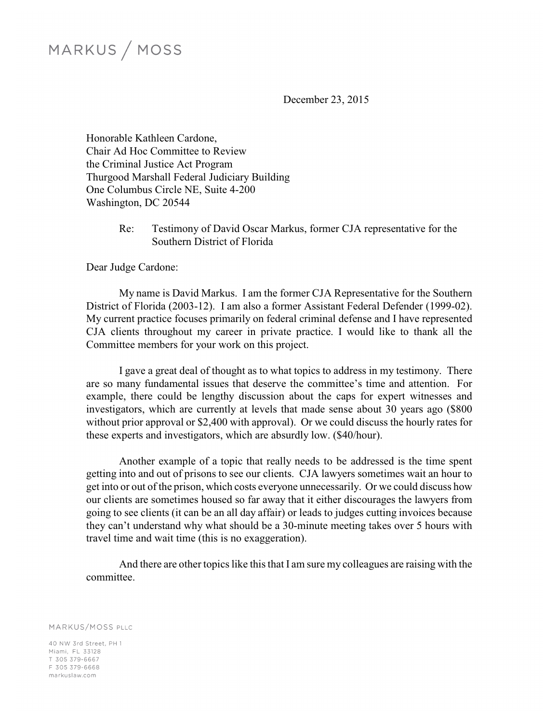# MARKUS / MOSS

December 23, 2015

Honorable Kathleen Cardone, Chair Ad Hoc Committee to Review the Criminal Justice Act Program Thurgood Marshall Federal Judiciary Building One Columbus Circle NE, Suite 4-200 Washington, DC 20544

> Re: Testimony of David Oscar Markus, former CJA representative for the Southern District of Florida

Dear Judge Cardone:

My name is David Markus. I am the former CJA Representative for the Southern District of Florida (2003-12). I am also a former Assistant Federal Defender (1999-02). My current practice focuses primarily on federal criminal defense and I have represented CJA clients throughout my career in private practice. I would like to thank all the Committee members for your work on this project.

I gave a great deal of thought as to what topics to address in my testimony. There are so many fundamental issues that deserve the committee's time and attention. For example, there could be lengthy discussion about the caps for expert witnesses and investigators, which are currently at levels that made sense about 30 years ago (\$800 without prior approval or \$2,400 with approval). Or we could discuss the hourly rates for these experts and investigators, which are absurdly low. (\$40/hour).

Another example of a topic that really needs to be addressed is the time spent getting into and out of prisons to see our clients. CJA lawyers sometimes wait an hour to get into or out of the prison, which costs everyone unnecessarily. Or we could discuss how our clients are sometimes housed so far away that it either discourages the lawyers from going to see clients (it can be an all day affair) or leads to judges cutting invoices because they can't understand why what should be a 30-minute meeting takes over 5 hours with travel time and wait time (this is no exaggeration).

And there are other topics like this that I am sure my colleagues are raising with the committee.

MARKUS/MOSS PLLC

40 NW 3rd Street, PH 1 Miami, FL 33128 T 305 379-6667 F 305 379-6668 markuslaw.com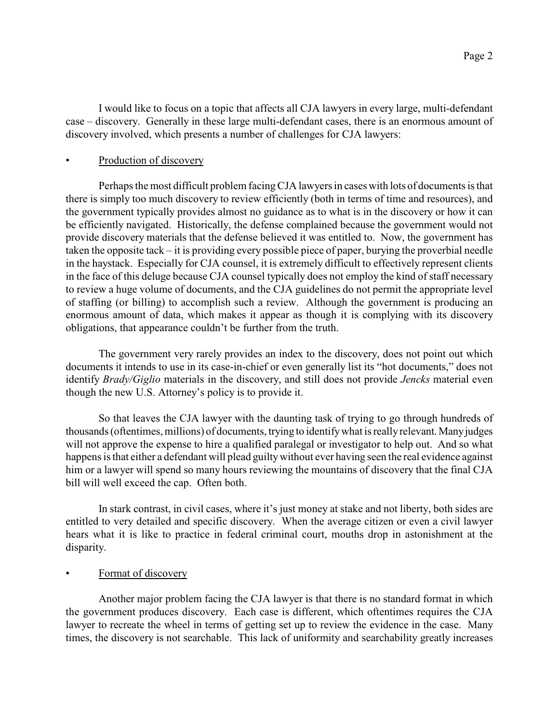I would like to focus on a topic that affects all CJA lawyers in every large, multi-defendant case – discovery. Generally in these large multi-defendant cases, there is an enormous amount of discovery involved, which presents a number of challenges for CJA lawyers:

## Production of discovery

Perhaps the most difficult problem facing CJA lawyers in cases with lots of documents is that there is simply too much discovery to review efficiently (both in terms of time and resources), and the government typically provides almost no guidance as to what is in the discovery or how it can be efficiently navigated. Historically, the defense complained because the government would not provide discovery materials that the defense believed it was entitled to. Now, the government has taken the opposite tack – it is providing every possible piece of paper, burying the proverbial needle in the haystack. Especially for CJA counsel, it is extremely difficult to effectively represent clients in the face of this deluge because CJA counsel typically does not employ the kind of staff necessary to review a huge volume of documents, and the CJA guidelines do not permit the appropriate level of staffing (or billing) to accomplish such a review. Although the government is producing an enormous amount of data, which makes it appear as though it is complying with its discovery obligations, that appearance couldn't be further from the truth.

The government very rarely provides an index to the discovery, does not point out which documents it intends to use in its case-in-chief or even generally list its "hot documents," does not identify *Brady/Giglio* materials in the discovery, and still does not provide *Jencks* material even though the new U.S. Attorney's policy is to provide it.

So that leaves the CJA lawyer with the daunting task of trying to go through hundreds of thousands (oftentimes, millions) of documents, trying to identify what is really relevant. Many judges will not approve the expense to hire a qualified paralegal or investigator to help out. And so what happens is that either a defendant will plead guilty without ever having seen the real evidence against him or a lawyer will spend so many hours reviewing the mountains of discovery that the final CJA bill will well exceed the cap. Often both.

In stark contrast, in civil cases, where it's just money at stake and not liberty, both sides are entitled to very detailed and specific discovery. When the average citizen or even a civil lawyer hears what it is like to practice in federal criminal court, mouths drop in astonishment at the disparity.

### Format of discovery

Another major problem facing the CJA lawyer is that there is no standard format in which the government produces discovery. Each case is different, which oftentimes requires the CJA lawyer to recreate the wheel in terms of getting set up to review the evidence in the case. Many times, the discovery is not searchable. This lack of uniformity and searchability greatly increases